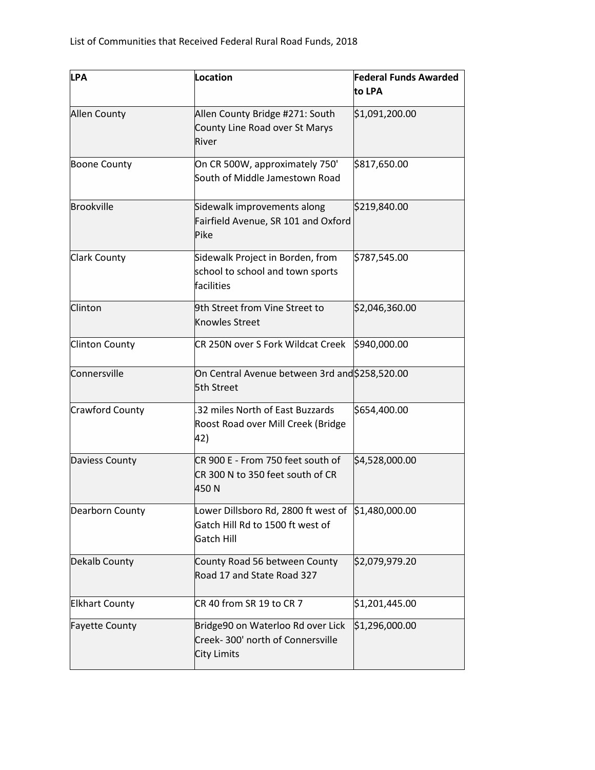| <b>LPA</b>            | Location                                                                                                    | <b>Federal Funds Awarded</b> |
|-----------------------|-------------------------------------------------------------------------------------------------------------|------------------------------|
|                       |                                                                                                             | to LPA                       |
| <b>Allen County</b>   | Allen County Bridge #271: South                                                                             | \$1,091,200.00               |
|                       | County Line Road over St Marys<br>River                                                                     |                              |
| <b>Boone County</b>   | On CR 500W, approximately 750'<br>South of Middle Jamestown Road                                            | \$817,650.00                 |
|                       |                                                                                                             |                              |
| <b>Brookville</b>     | Sidewalk improvements along<br>Fairfield Avenue, SR 101 and Oxford                                          | \$219,840.00                 |
|                       | Pike                                                                                                        |                              |
| <b>Clark County</b>   | Sidewalk Project in Borden, from<br>school to school and town sports                                        | \$787,545.00                 |
|                       | facilities                                                                                                  |                              |
| Clinton               | 9th Street from Vine Street to<br><b>Knowles Street</b>                                                     | \$2,046,360.00               |
| <b>Clinton County</b> | CR 250N over S Fork Wildcat Creek                                                                           | \$940,000.00                 |
| Connersville          | On Central Avenue between 3rd and \$258,520.00<br>5th Street                                                |                              |
| Crawford County       | .32 miles North of East Buzzards<br>Roost Road over Mill Creek (Bridge<br>42)                               | \$654,400.00                 |
| Daviess County        | CR 900 E - From 750 feet south of<br>CR 300 N to 350 feet south of CR<br>450N                               | \$4,528,000.00               |
| Dearborn County       | Lower Dillsboro Rd, 2800 ft west of \$1,480,000.00<br>Gatch Hill Rd to 1500 ft west of<br><b>Gatch Hill</b> |                              |
| Dekalb County         | County Road 56 between County<br>Road 17 and State Road 327                                                 | \$2,079,979.20               |
| <b>Elkhart County</b> | CR 40 from SR 19 to CR 7                                                                                    | \$1,201,445.00               |
| <b>Fayette County</b> | Bridge90 on Waterloo Rd over Lick<br>Creek-300' north of Connersville<br>City Limits                        | \$1,296,000.00               |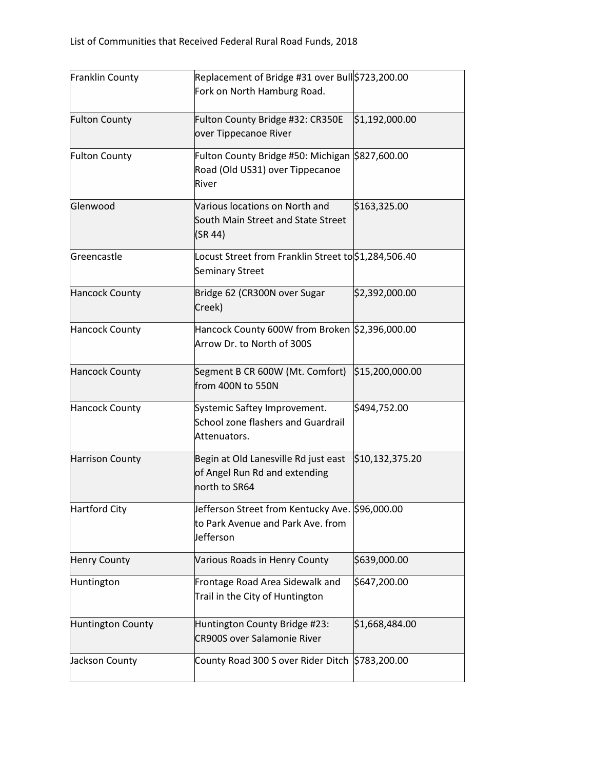| <b>Franklin County</b>   | Replacement of Bridge #31 over Bull \$723,200.00                                                  |                 |
|--------------------------|---------------------------------------------------------------------------------------------------|-----------------|
|                          | Fork on North Hamburg Road.                                                                       |                 |
| <b>Fulton County</b>     | Fulton County Bridge #32: CR350E<br>over Tippecanoe River                                         | \$1,192,000.00  |
| <b>Fulton County</b>     | Fulton County Bridge #50: Michigan \$827,600.00<br>Road (Old US31) over Tippecanoe<br>River       |                 |
| Glenwood                 | Various locations on North and<br>South Main Street and State Street<br>(SR 44)                   | \$163,325.00    |
| Greencastle              | Locust Street from Franklin Street to \$1,284,506.40<br><b>Seminary Street</b>                    |                 |
| <b>Hancock County</b>    | Bridge 62 (CR300N over Sugar<br>Creek)                                                            | \$2,392,000.00  |
| <b>Hancock County</b>    | Hancock County 600W from Broken \$2,396,000.00<br>Arrow Dr. to North of 300S                      |                 |
| <b>Hancock County</b>    | Segment B CR 600W (Mt. Comfort) \$15,200,000.00<br>from 400N to 550N                              |                 |
| <b>Hancock County</b>    | Systemic Saftey Improvement.<br>School zone flashers and Guardrail<br>Attenuators.                | \$494,752.00    |
| <b>Harrison County</b>   | Begin at Old Lanesville Rd just east<br>of Angel Run Rd and extending<br>north to SR64            | \$10,132,375.20 |
| <b>Hartford City</b>     | Jefferson Street from Kentucky Ave. \$96,000.00<br>to Park Avenue and Park Ave. from<br>Jefferson |                 |
| <b>Henry County</b>      | Various Roads in Henry County                                                                     | \$639,000.00    |
| Huntington               | Frontage Road Area Sidewalk and<br>Trail in the City of Huntington                                | \$647,200.00    |
| <b>Huntington County</b> | Huntington County Bridge #23:<br><b>CR900S over Salamonie River</b>                               | \$1,668,484.00  |
| Jackson County           | County Road 300 S over Rider Ditch \$783,200.00                                                   |                 |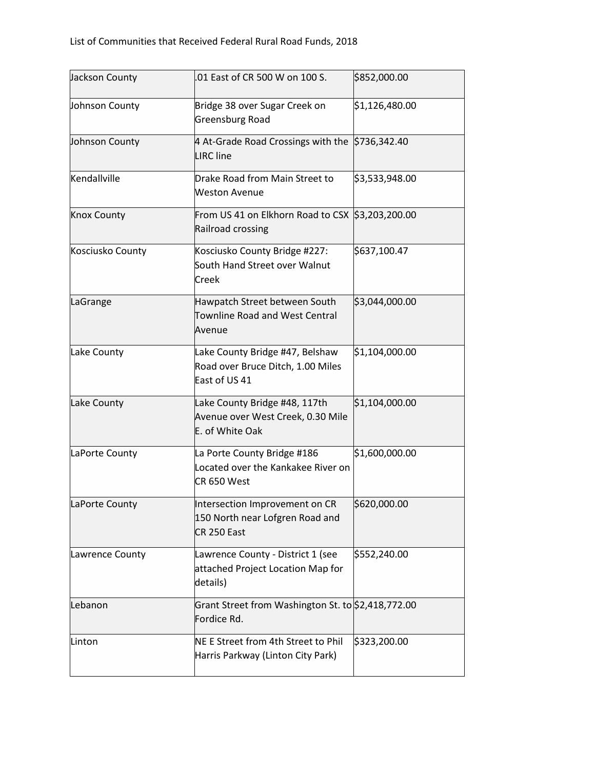| Jackson County     | .01 East of CR 500 W on 100 S.                                                        | \$852,000.00   |
|--------------------|---------------------------------------------------------------------------------------|----------------|
| Johnson County     | Bridge 38 over Sugar Creek on<br>Greensburg Road                                      | \$1,126,480.00 |
| Johnson County     | 4 At-Grade Road Crossings with the \$736,342.40<br><b>LIRC</b> line                   |                |
| Kendallville       | Drake Road from Main Street to<br><b>Weston Avenue</b>                                | \$3,533,948.00 |
| <b>Knox County</b> | From US 41 on Elkhorn Road to CSX \$3,203,200.00<br>Railroad crossing                 |                |
| Kosciusko County   | Kosciusko County Bridge #227:<br>South Hand Street over Walnut<br>Creek               | \$637,100.47   |
| LaGrange           | Hawpatch Street between South<br>Townline Road and West Central<br>Avenue             | \$3,044,000.00 |
| Lake County        | Lake County Bridge #47, Belshaw<br>Road over Bruce Ditch, 1.00 Miles<br>East of US 41 | \$1,104,000.00 |
| Lake County        | Lake County Bridge #48, 117th<br>Avenue over West Creek, 0.30 Mile<br>E. of White Oak | \$1,104,000.00 |
| LaPorte County     | La Porte County Bridge #186<br>Located over the Kankakee River on<br>CR 650 West      | \$1,600,000.00 |
| LaPorte County     | Intersection Improvement on CR<br>150 North near Lofgren Road and<br>CR 250 East      | \$620,000.00   |
| Lawrence County    | Lawrence County - District 1 (see<br>attached Project Location Map for<br>details)    | \$552,240.00   |
| Lebanon            | Grant Street from Washington St. to \$2,418,772.00<br>Fordice Rd.                     |                |
| Linton             | NE E Street from 4th Street to Phil<br>Harris Parkway (Linton City Park)              | \$323,200.00   |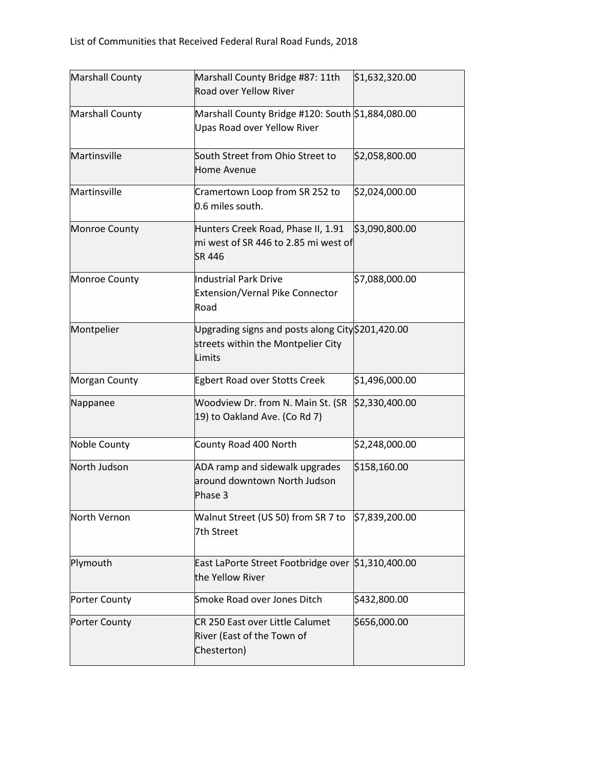| <b>Marshall County</b> | Marshall County Bridge #87: 11th<br>Road over Yellow River                                        | \$1,632,320.00 |
|------------------------|---------------------------------------------------------------------------------------------------|----------------|
| Marshall County        | Marshall County Bridge #120: South \$1,884,080.00<br>Upas Road over Yellow River                  |                |
| Martinsville           | South Street from Ohio Street to<br><b>Home Avenue</b>                                            | \$2,058,800.00 |
| Martinsville           | Cramertown Loop from SR 252 to<br>0.6 miles south.                                                | \$2,024,000.00 |
| Monroe County          | Hunters Creek Road, Phase II, 1.91<br>mi west of SR 446 to 2.85 mi west of<br>SR 446              | \$3,090,800.00 |
| Monroe County          | <b>Industrial Park Drive</b><br>Extension/Vernal Pike Connector<br>Road                           | \$7,088,000.00 |
| Montpelier             | Upgrading signs and posts along City \$201,420.00<br>streets within the Montpelier City<br>Limits |                |
| Morgan County          | Egbert Road over Stotts Creek                                                                     | \$1,496,000.00 |
| Nappanee               | Woodview Dr. from N. Main St. (SR<br>19) to Oakland Ave. (Co Rd 7)                                | \$2,330,400.00 |
| Noble County           | County Road 400 North                                                                             | \$2,248,000.00 |
| North Judson           | ADA ramp and sidewalk upgrades<br>around downtown North Judson<br>Phase 3                         | \$158,160.00   |
| North Vernon           | Walnut Street (US 50) from SR 7 to<br>7th Street                                                  | \$7,839,200.00 |
| Plymouth               | East LaPorte Street Footbridge over \$1,310,400.00<br>the Yellow River                            |                |
| Porter County          | Smoke Road over Jones Ditch                                                                       | \$432,800.00   |
| <b>Porter County</b>   | CR 250 East over Little Calumet<br>River (East of the Town of<br>Chesterton)                      | \$656,000.00   |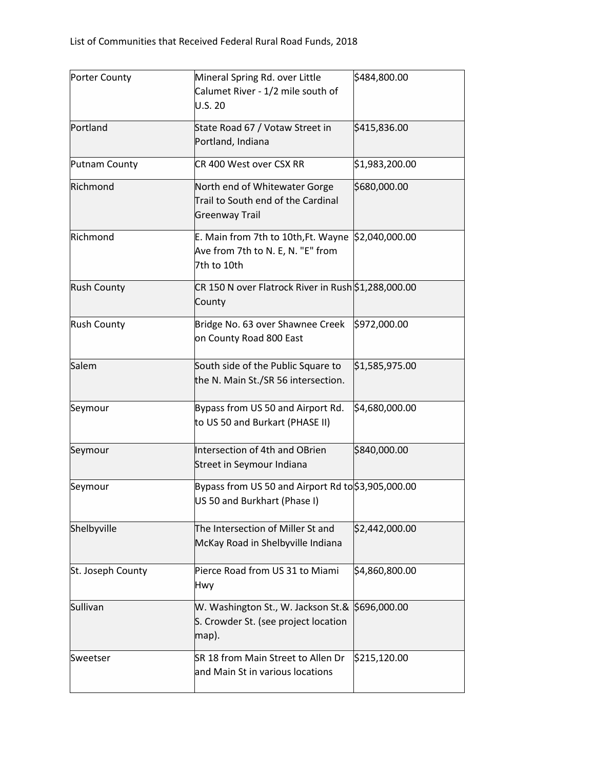| <b>Porter County</b> | Mineral Spring Rd. over Little<br>Calumet River - 1/2 mile south of<br>U.S. 20                  | \$484,800.00              |
|----------------------|-------------------------------------------------------------------------------------------------|---------------------------|
| Portland             | State Road 67 / Votaw Street in<br>Portland, Indiana                                            | \$415,836.00              |
| Putnam County        | CR 400 West over CSX RR                                                                         | \$1,983,200.00            |
| Richmond             | North end of Whitewater Gorge<br>Trail to South end of the Cardinal<br><b>Greenway Trail</b>    | \$680,000.00              |
| Richmond             | E. Main from 7th to 10th, Ft. Wayne<br>Ave from 7th to N. E, N. "E" from<br>7th to 10th         | $\frac{1}{2}$ ,040,000.00 |
| <b>Rush County</b>   | CR 150 N over Flatrock River in Rush \$1,288,000.00<br>County                                   |                           |
| <b>Rush County</b>   | Bridge No. 63 over Shawnee Creek<br>on County Road 800 East                                     | \$972,000.00              |
| Salem                | South side of the Public Square to<br>the N. Main St./SR 56 intersection.                       | \$1,585,975.00            |
| Seymour              | Bypass from US 50 and Airport Rd.<br>to US 50 and Burkart (PHASE II)                            | \$4,680,000.00            |
| Seymour              | Intersection of 4th and OBrien<br>Street in Seymour Indiana                                     | \$840,000.00              |
| Seymour              | Bypass from US 50 and Airport Rd to \$3,905,000.00<br>US 50 and Burkhart (Phase I)              |                           |
| Shelbyville          | The Intersection of Miller St and<br>McKay Road in Shelbyville Indiana                          | \$2,442,000.00            |
| St. Joseph County    | Pierce Road from US 31 to Miami<br>Hwy                                                          | \$4,860,800.00            |
| Sullivan             | W. Washington St., W. Jackson St.& S696,000.00<br>S. Crowder St. (see project location<br>map). |                           |
| Sweetser             | SR 18 from Main Street to Allen Dr<br>and Main St in various locations                          | \$215,120.00              |